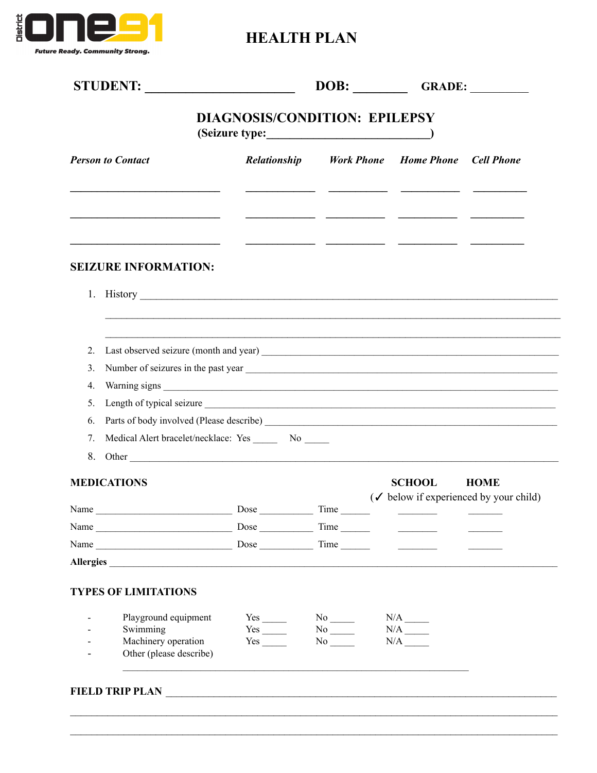

**HEALTH PLAN** 

|                          | STUDENT:                                                |                                                  |                       |                                                                     |             |  |
|--------------------------|---------------------------------------------------------|--------------------------------------------------|-----------------------|---------------------------------------------------------------------|-------------|--|
|                          |                                                         | <b>DIAGNOSIS/CONDITION: EPILEPSY</b>             |                       |                                                                     |             |  |
| <b>Person to Contact</b> |                                                         | Relationship                                     |                       | <b>Work Phone Home Phone Cell Phone</b>                             |             |  |
|                          |                                                         |                                                  |                       |                                                                     |             |  |
|                          | <b>SEIZURE INFORMATION:</b>                             |                                                  |                       |                                                                     |             |  |
|                          |                                                         |                                                  |                       |                                                                     |             |  |
|                          |                                                         |                                                  |                       |                                                                     |             |  |
| 2.                       |                                                         |                                                  |                       |                                                                     |             |  |
| 3.                       |                                                         |                                                  |                       |                                                                     |             |  |
| 4.                       |                                                         |                                                  |                       |                                                                     |             |  |
| 5.                       |                                                         |                                                  |                       |                                                                     |             |  |
| 6.                       |                                                         |                                                  |                       |                                                                     |             |  |
| 7.                       | Medical Alert bracelet/necklace: Yes ________ No ______ |                                                  |                       |                                                                     |             |  |
| 8.                       |                                                         |                                                  |                       |                                                                     |             |  |
|                          | <b>MEDICATIONS</b>                                      |                                                  |                       | <b>SCHOOL</b><br>$(\checkmark)$ below if experienced by your child) | <b>HOME</b> |  |
| Name                     |                                                         | $\frac{1}{2}$ Dose $\frac{1}{2}$ Time            |                       |                                                                     |             |  |
|                          |                                                         |                                                  |                       |                                                                     |             |  |
|                          |                                                         |                                                  |                       |                                                                     |             |  |
|                          | Allergies                                               |                                                  |                       |                                                                     |             |  |
|                          | <b>TYPES OF LIMITATIONS</b>                             |                                                  |                       |                                                                     |             |  |
|                          |                                                         |                                                  |                       |                                                                     |             |  |
|                          | Playground equipment<br>Swimming                        | $Yes$ <sub>_____</sub><br>$Yes$ <sub>_____</sub> | $No$ <sub>_____</sub> |                                                                     |             |  |
|                          | Machinery operation                                     | Yes                                              | No No                 |                                                                     |             |  |
| Ξ.                       | Other (please describe)                                 |                                                  |                       |                                                                     |             |  |